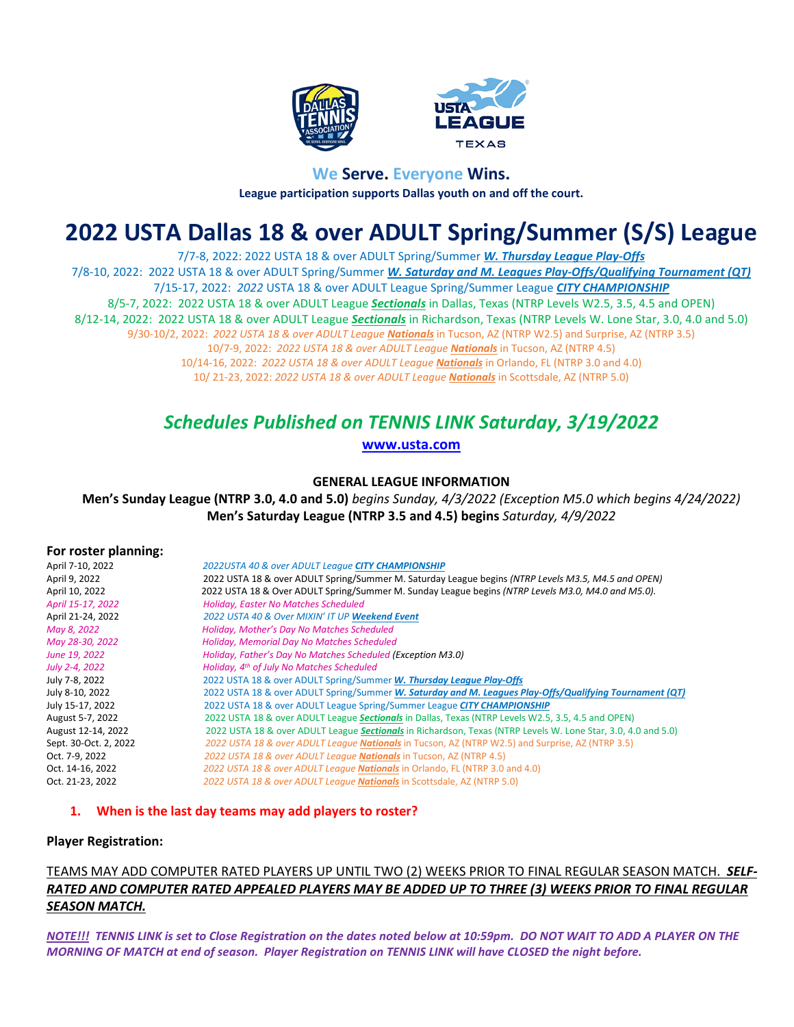



## **We Serve. Everyone Wins. League participation supports Dallas youth on and off the court.**

# **2022 USTA Dallas 18 & over ADULT Spring/Summer (S/S) League**

7/7-8, 2022: 2022 USTA 18 & over ADULT Spring/Summer *W. Thursday League Play-Offs* 7/8-10, 2022: 2022 USTA 18 & over ADULT Spring/Summer *W. Saturday and M. Leagues Play-Offs/Qualifying Tournament (QT)* 7/15-17, 2022: *2022* USTA 18 & over ADULT League Spring/Summer League *CITY CHAMPIONSHIP* 8/5-7, 2022: 2022 USTA 18 & over ADULT League *Sectionals* in Dallas, Texas (NTRP Levels W2.5, 3.5, 4.5 and OPEN) 8/12-14, 2022: 2022 USTA 18 & over ADULT League *Sectionals* in Richardson, Texas (NTRP Levels W. Lone Star, 3.0, 4.0 and 5.0) 9/30-10/2, 2022: *2022 USTA 18 & over ADULT League Nationals* in Tucson, AZ (NTRP W2.5) and Surprise, AZ (NTRP 3.5) 10/7-9, 2022: *2022 USTA 18 & over ADULT League Nationals* in Tucson, AZ (NTRP 4.5) 10/14-16, 2022: *2022 USTA 18 & over ADULT League Nationals* in Orlando, FL (NTRP 3.0 and 4.0) 10/ 21-23, 2022: *2022 USTA 18 & over ADULT League Nationals* in Scottsdale, AZ (NTRP 5.0)

## *Schedules Published on TENNIS LINK Saturday, 3/19/2022*

**[www.usta.com](http://www.usta.com/)**

### **GENERAL LEAGUE INFORMATION**

**Men's Sunday League (NTRP 3.0, 4.0 and 5.0)** *begins Sunday, 4/3/2022 (Exception M5.0 which begins 4/24/2022)* **Men's Saturday League (NTRP 3.5 and 4.5) begins** *Saturday, 4/9/2022*

#### **For roster planning:**

| April 7-10, 2022      | 2022USTA 40 & over ADULT League CITY CHAMPIONSHIP                                                             |
|-----------------------|---------------------------------------------------------------------------------------------------------------|
| April 9, 2022         | 2022 USTA 18 & over ADULT Spring/Summer M. Saturday League begins (NTRP Levels M3.5, M4.5 and OPEN)           |
| April 10, 2022        | 2022 USTA 18 & Over ADULT Spring/Summer M. Sunday League begins (NTRP Levels M3.0, M4.0 and M5.0).            |
| April 15-17, 2022     | <b>Holiday, Easter No Matches Scheduled</b>                                                                   |
| April 21-24, 2022     | 2022 USTA 40 & Over MIXIN' IT UP Weekend Event                                                                |
| May 8, 2022           | Holiday, Mother's Day No Matches Scheduled                                                                    |
| May 28-30, 2022       | Holiday, Memorial Day No Matches Scheduled                                                                    |
| June 19, 2022         | Holiday, Father's Day No Matches Scheduled (Exception M3.0)                                                   |
| July 2-4, 2022        | Holiday, 4 <sup>th</sup> of July No Matches Scheduled                                                         |
| July 7-8, 2022        | 2022 USTA 18 & over ADULT Spring/Summer W. Thursday League Play-Offs                                          |
| July 8-10, 2022       | 2022 USTA 18 & over ADULT Spring/Summer W. Saturday and M. Leagues Play-Offs/Qualifying Tournament (QT)       |
| July 15-17, 2022      | 2022 USTA 18 & over ADULT League Spring/Summer League CITY CHAMPIONSHIP                                       |
| August 5-7, 2022      | 2022 USTA 18 & over ADULT League Sectionals in Dallas, Texas (NTRP Levels W2.5, 3.5, 4.5 and OPEN)            |
| August 12-14, 2022    | 2022 USTA 18 & over ADULT League Sectionals in Richardson, Texas (NTRP Levels W. Lone Star, 3.0, 4.0 and 5.0) |
| Sept. 30-Oct. 2, 2022 | 2022 USTA 18 & over ADULT League Nationals in Tucson, AZ (NTRP W2.5) and Surprise, AZ (NTRP 3.5)              |
| Oct. 7-9, 2022        | 2022 USTA 18 & over ADULT League <b>Nationals</b> in Tucson, AZ (NTRP 4.5)                                    |
| Oct. 14-16, 2022      | 2022 USTA 18 & over ADULT League <b>Nationals</b> in Orlando, FL (NTRP 3.0 and 4.0)                           |
| Oct. 21-23, 2022      | 2022 USTA 18 & over ADULT League <b>Nationals</b> in Scottsdale, AZ (NTRP 5.0)                                |

#### **1. When is the last day teams may add players to roster?**

#### **Player Registration:**

## TEAMS MAY ADD COMPUTER RATED PLAYERS UP UNTIL TWO (2) WEEKS PRIOR TO FINAL REGULAR SEASON MATCH.*SELF-RATED AND COMPUTER RATED APPEALED PLAYERS MAY BE ADDED UP TO THREE (3) WEEKS PRIOR TO FINAL REGULAR SEASON MATCH.*

*NOTE!!! TENNIS LINK is set to Close Registration on the dates noted below at 10:59pm. DO NOT WAIT TO ADD A PLAYER ON THE MORNING OF MATCH at end of season. Player Registration on TENNIS LINK will have CLOSED the night before.*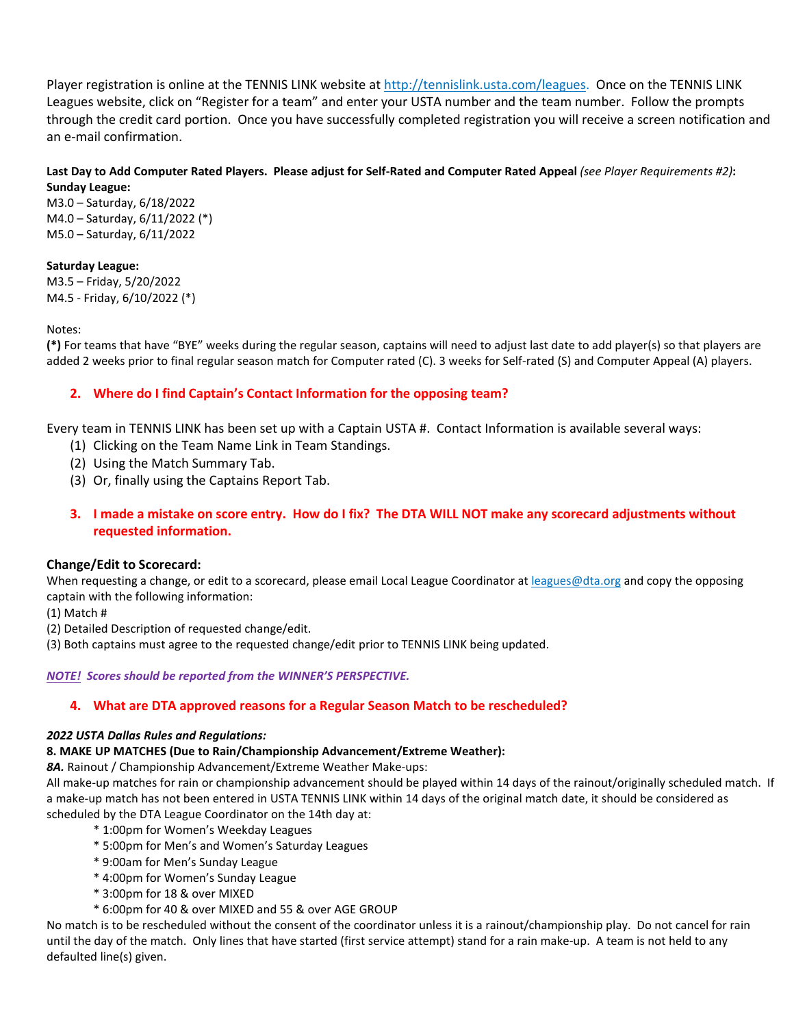Player registration is online at the TENNIS LINK website at [http://tennislink.usta.com/leagues.](http://tennislink.usta.com/leagues) Once on the TENNIS LINK Leagues website, click on "Register for a team" and enter your USTA number and the team number. Follow the prompts through the credit card portion. Once you have successfully completed registration you will receive a screen notification and an e-mail confirmation.

#### **Last Day to Add Computer Rated Players. Please adjust for Self-Rated and Computer Rated Appeal** *(see Player Requirements #2)***: Sunday League:**

M3.0 – Saturday, 6/18/2022 M4.0 – Saturday, 6/11/2022 (\*) M5.0 – Saturday, 6/11/2022

#### **Saturday League:**

M3.5 – Friday, 5/20/2022 M4.5 - Friday, 6/10/2022 (\*)

Notes:

**(\*)** For teams that have "BYE" weeks during the regular season, captains will need to adjust last date to add player(s) so that players are added 2 weeks prior to final regular season match for Computer rated (C). 3 weeks for Self-rated (S) and Computer Appeal (A) players.

## **2. Where do I find Captain's Contact Information for the opposing team?**

Every team in TENNIS LINK has been set up with a Captain USTA #. Contact Information is available several ways:

- (1) Clicking on the Team Name Link in Team Standings.
- (2) Using the Match Summary Tab.
- (3) Or, finally using the Captains Report Tab.
- **3. I made a mistake on score entry. How do I fix? The DTA WILL NOT make any scorecard adjustments without requested information.**

## **Change/Edit to Scorecard:**

When requesting a change, or edit to a scorecard, please email Local League Coordinator at leagues@dta.org and copy the opposing captain with the following information:

(1) Match #

(2) Detailed Description of requested change/edit.

(3) Both captains must agree to the requested change/edit prior to TENNIS LINK being updated.

#### *NOTE! Scores should be reported from the WINNER'S PERSPECTIVE.*

## **4. What are DTA approved reasons for a Regular Season Match to be rescheduled?**

#### *2022 USTA Dallas Rules and Regulations:*

#### **8. MAKE UP MATCHES (Due to Rain/Championship Advancement/Extreme Weather):**

*8A.* Rainout / Championship Advancement/Extreme Weather Make-ups:

All make-up matches for rain or championship advancement should be played within 14 days of the rainout/originally scheduled match. If a make-up match has not been entered in USTA TENNIS LINK within 14 days of the original match date, it should be considered as scheduled by the DTA League Coordinator on the 14th day at:

- \* 1:00pm for Women's Weekday Leagues
- \* 5:00pm for Men's and Women's Saturday Leagues
- \* 9:00am for Men's Sunday League
- \* 4:00pm for Women's Sunday League
- \* 3:00pm for 18 & over MIXED
- \* 6:00pm for 40 & over MIXED and 55 & over AGE GROUP

No match is to be rescheduled without the consent of the coordinator unless it is a rainout/championship play. Do not cancel for rain until the day of the match. Only lines that have started (first service attempt) stand for a rain make-up. A team is not held to any defaulted line(s) given.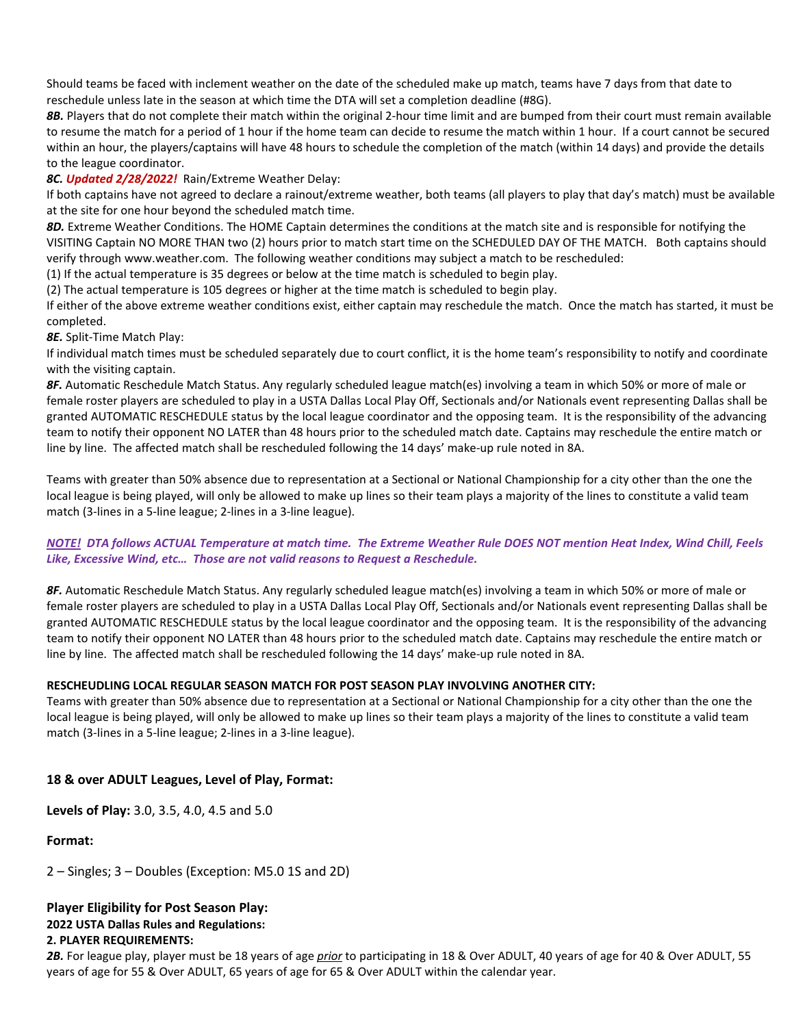Should teams be faced with inclement weather on the date of the scheduled make up match, teams have 7 days from that date to reschedule unless late in the season at which time the DTA will set a completion deadline (#8G).

*8B.* Players that do not complete their match within the original 2-hour time limit and are bumped from their court must remain available to resume the match for a period of 1 hour if the home team can decide to resume the match within 1 hour. If a court cannot be secured within an hour, the players/captains will have 48 hours to schedule the completion of the match (within 14 days) and provide the details to the league coordinator.

#### *8C. Updated 2/28/2022!* Rain/Extreme Weather Delay:

If both captains have not agreed to declare a rainout/extreme weather, both teams (all players to play that day's match) must be available at the site for one hour beyond the scheduled match time.

*8D.* Extreme Weather Conditions. The HOME Captain determines the conditions at the match site and is responsible for notifying the VISITING Captain NO MORE THAN two (2) hours prior to match start time on the SCHEDULED DAY OF THE MATCH. Both captains should verify through www.weather.com. The following weather conditions may subject a match to be rescheduled:

(1) If the actual temperature is 35 degrees or below at the time match is scheduled to begin play.

(2) The actual temperature is 105 degrees or higher at the time match is scheduled to begin play.

If either of the above extreme weather conditions exist, either captain may reschedule the match. Once the match has started, it must be completed.

*8E.* Split-Time Match Play:

If individual match times must be scheduled separately due to court conflict, it is the home team's responsibility to notify and coordinate with the visiting captain.

*8F.* Automatic Reschedule Match Status. Any regularly scheduled league match(es) involving a team in which 50% or more of male or female roster players are scheduled to play in a USTA Dallas Local Play Off, Sectionals and/or Nationals event representing Dallas shall be granted AUTOMATIC RESCHEDULE status by the local league coordinator and the opposing team. It is the responsibility of the advancing team to notify their opponent NO LATER than 48 hours prior to the scheduled match date. Captains may reschedule the entire match or line by line. The affected match shall be rescheduled following the 14 days' make-up rule noted in 8A.

Teams with greater than 50% absence due to representation at a Sectional or National Championship for a city other than the one the local league is being played, will only be allowed to make up lines so their team plays a majority of the lines to constitute a valid team match (3-lines in a 5-line league; 2-lines in a 3-line league).

#### *NOTE! DTA follows ACTUAL Temperature at match time. The Extreme Weather Rule DOES NOT mention Heat Index, Wind Chill, Feels Like, Excessive Wind, etc… Those are not valid reasons to Request a Reschedule.*

*8F.* Automatic Reschedule Match Status. Any regularly scheduled league match(es) involving a team in which 50% or more of male or female roster players are scheduled to play in a USTA Dallas Local Play Off, Sectionals and/or Nationals event representing Dallas shall be granted AUTOMATIC RESCHEDULE status by the local league coordinator and the opposing team. It is the responsibility of the advancing team to notify their opponent NO LATER than 48 hours prior to the scheduled match date. Captains may reschedule the entire match or line by line. The affected match shall be rescheduled following the 14 days' make-up rule noted in 8A.

#### **RESCHEUDLING LOCAL REGULAR SEASON MATCH FOR POST SEASON PLAY INVOLVING ANOTHER CITY:**

Teams with greater than 50% absence due to representation at a Sectional or National Championship for a city other than the one the local league is being played, will only be allowed to make up lines so their team plays a majority of the lines to constitute a valid team match (3-lines in a 5-line league; 2-lines in a 3-line league).

#### **18 & over ADULT Leagues, Level of Play, Format:**

**Levels of Play:** 3.0, 3.5, 4.0, 4.5 and 5.0

#### **Format:**

2 – Singles; 3 – Doubles (Exception: M5.0 1S and 2D)

#### **Player Eligibility for Post Season Play: 2022 USTA Dallas Rules and Regulations: 2. PLAYER REQUIREMENTS:**

*2B.* For league play, player must be 18 years of age *prior* to participating in 18 & Over ADULT, 40 years of age for 40 & Over ADULT, 55 years of age for 55 & Over ADULT, 65 years of age for 65 & Over ADULT within the calendar year.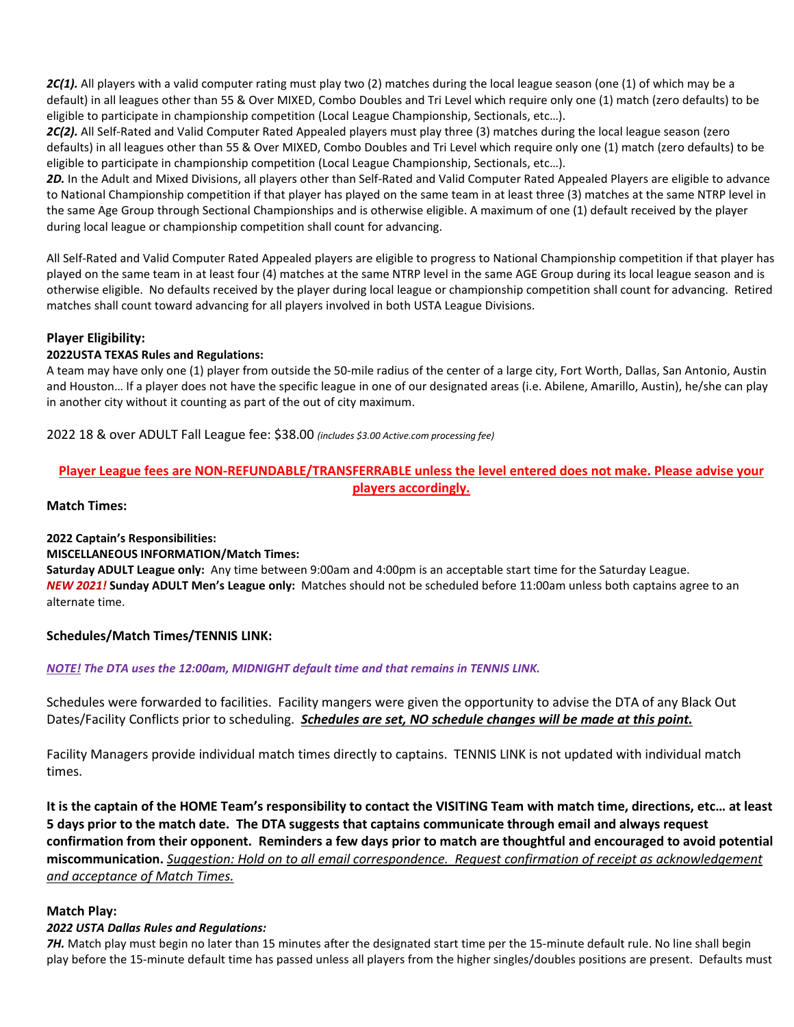*2C(1).* All players with a valid computer rating must play two (2) matches during the local league season (one (1) of which may be a default) in all leagues other than 55 & Over MIXED, Combo Doubles and Tri Level which require only one (1) match (zero defaults) to be eligible to participate in championship competition (Local League Championship, Sectionals, etc…).

2C(2). All Self-Rated and Valid Computer Rated Appealed players must play three (3) matches during the local league season (zero defaults) in all leagues other than 55 & Over MIXED, Combo Doubles and Tri Level which require only one (1) match (zero defaults) to be eligible to participate in championship competition (Local League Championship, Sectionals, etc…).

*2D.* In the Adult and Mixed Divisions, all players other than Self-Rated and Valid Computer Rated Appealed Players are eligible to advance to National Championship competition if that player has played on the same team in at least three (3) matches at the same NTRP level in the same Age Group through Sectional Championships and is otherwise eligible. A maximum of one (1) default received by the player during local league or championship competition shall count for advancing.

All Self-Rated and Valid Computer Rated Appealed players are eligible to progress to National Championship competition if that player has played on the same team in at least four (4) matches at the same NTRP level in the same AGE Group during its local league season and is otherwise eligible. No defaults received by the player during local league or championship competition shall count for advancing. Retired matches shall count toward advancing for all players involved in both USTA League Divisions.

#### **Player Eligibility:**

#### **2022USTA TEXAS Rules and Regulations:**

A team may have only one (1) player from outside the 50-mile radius of the center of a large city, Fort Worth, Dallas, San Antonio, Austin and Houston… If a player does not have the specific league in one of our designated areas (i.e. Abilene, Amarillo, Austin), he/she can play in another city without it counting as part of the out of city maximum.

2022 18 & over ADULT Fall League fee: \$38.00 *(includes \$3.00 Active.com processing fee)*

## **Player League fees are NON-REFUNDABLE/TRANSFERRABLE unless the level entered does not make. Please advise your players accordingly.**

#### **Match Times:**

#### **2022 Captain's Responsibilities:**

#### **MISCELLANEOUS INFORMATION/Match Times:**

**Saturday ADULT League only:** Any time between 9:00am and 4:00pm is an acceptable start time for the Saturday League. *NEW 2021!* **Sunday ADULT Men's League only:** Matches should not be scheduled before 11:00am unless both captains agree to an alternate time.

#### **Schedules/Match Times/TENNIS LINK:**

#### *NOTE! The DTA uses the 12:00am, MIDNIGHT default time and that remains in TENNIS LINK.*

Schedules were forwarded to facilities. Facility mangers were given the opportunity to advise the DTA of any Black Out Dates/Facility Conflicts prior to scheduling. *Schedules are set, NO schedule changes will be made at this point.*

Facility Managers provide individual match times directly to captains. TENNIS LINK is not updated with individual match times.

**It is the captain of the HOME Team's responsibility to contact the VISITING Team with match time, directions, etc… at least 5 days prior to the match date. The DTA suggests that captains communicate through email and always request confirmation from their opponent. Reminders a few days prior to match are thoughtful and encouraged to avoid potential miscommunication.** *Suggestion: Hold on to all email correspondence. Request confirmation of receipt as acknowledgement and acceptance of Match Times.*

#### **Match Play:**

#### *2022 USTA Dallas Rules and Regulations:*

**7H.** Match play must begin no later than 15 minutes after the designated start time per the 15-minute default rule. No line shall begin play before the 15-minute default time has passed unless all players from the higher singles/doubles positions are present. Defaults must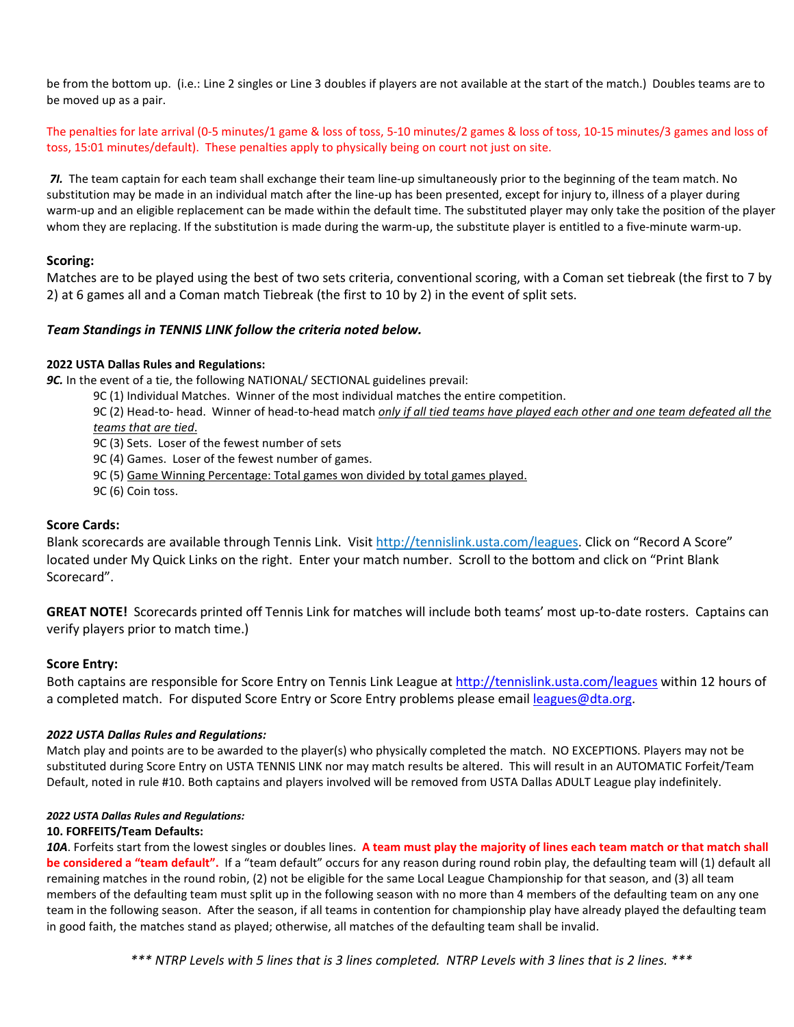be from the bottom up. (i.e.: Line 2 singles or Line 3 doubles if players are not available at the start of the match.) Doubles teams are to be moved up as a pair.

The penalties for late arrival (0-5 minutes/1 game & loss of toss, 5-10 minutes/2 games & loss of toss, 10-15 minutes/3 games and loss of toss, 15:01 minutes/default). These penalties apply to physically being on court not just on site.

*7I.* The team captain for each team shall exchange their team line-up simultaneously prior to the beginning of the team match. No substitution may be made in an individual match after the line-up has been presented, except for injury to, illness of a player during warm-up and an eligible replacement can be made within the default time. The substituted player may only take the position of the player whom they are replacing. If the substitution is made during the warm-up, the substitute player is entitled to a five-minute warm-up.

#### **Scoring:**

Matches are to be played using the best of two sets criteria, conventional scoring, with a Coman set tiebreak (the first to 7 by 2) at 6 games all and a Coman match Tiebreak (the first to 10 by 2) in the event of split sets.

#### *Team Standings in TENNIS LINK follow the criteria noted below.*

#### **2022 USTA Dallas Rules and Regulations:**

**9C.** In the event of a tie, the following NATIONAL/ SECTIONAL guidelines prevail:

9C (1) Individual Matches. Winner of the most individual matches the entire competition.

9C (2) Head-to- head. Winner of head-to-head match *only if all tied teams have played each other and one team defeated all the teams that are tied*.

9C (3) Sets. Loser of the fewest number of sets

9C (4) Games. Loser of the fewest number of games.

9C (5) Game Winning Percentage: Total games won divided by total games played.

9C (6) Coin toss.

#### **Score Cards:**

Blank scorecards are available through Tennis Link. Visit http://tennislink.usta.com/leagues. Click on "Record A Score" located under My Quick Links on the right. Enter your match number. Scroll to the bottom and click on "Print Blank Scorecard".

**GREAT NOTE!** Scorecards printed off Tennis Link for matches will include both teams' most up-to-date rosters. Captains can verify players prior to match time.)

#### **Score Entry:**

Both captains are responsible for Score Entry on Tennis Link League a[t http://tennislink.usta.com/leagues](http://tennislink.usta.com/leagues) within 12 hours of a completed match. For disputed Score Entry or Score Entry problems please email [leagues@dta.org.](mailto:leagues@dta.org)

#### *2022 USTA Dallas Rules and Regulations:*

Match play and points are to be awarded to the player(s) who physically completed the match. NO EXCEPTIONS. Players may not be substituted during Score Entry on USTA TENNIS LINK nor may match results be altered. This will result in an AUTOMATIC Forfeit/Team Default, noted in rule #10. Both captains and players involved will be removed from USTA Dallas ADULT League play indefinitely.

#### *2022 USTA Dallas Rules and Regulations:*

#### **10. FORFEITS/Team Defaults:**

*10A*. Forfeits start from the lowest singles or doubles lines. **A team must play the majority of lines each team match or that match shall be considered a "team default".** If a "team default" occurs for any reason during round robin play, the defaulting team will (1) default all remaining matches in the round robin, (2) not be eligible for the same Local League Championship for that season, and (3) all team members of the defaulting team must split up in the following season with no more than 4 members of the defaulting team on any one team in the following season. After the season, if all teams in contention for championship play have already played the defaulting team in good faith, the matches stand as played; otherwise, all matches of the defaulting team shall be invalid.

*\*\*\* NTRP Levels with 5 lines that is 3 lines completed. NTRP Levels with 3 lines that is 2 lines. \*\*\**